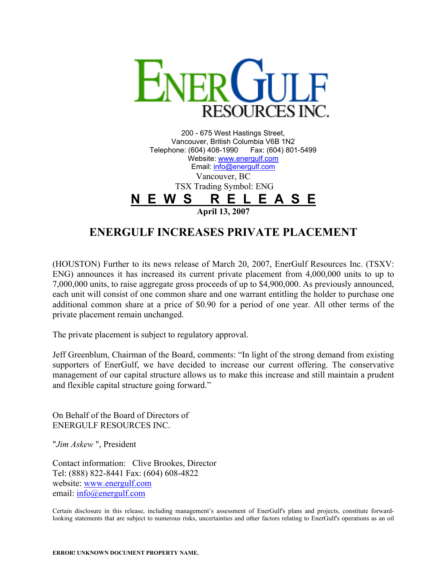

200 - 675 West Hastings Street, Vancouver, British Columbia V6B 1N2 Telephone: (604) 408-1990 Fax: (604) 801-5499 Website: [www.energulf.com](http://www.energulf.com/) Email: [info@energulf.com](mailto:info@energulf.com) Vancouver, BC TSX Trading Symbol: ENG **N E W S R E L E A S E April 13, 2007**

## **ENERGULF INCREASES PRIVATE PLACEMENT**

(HOUSTON) Further to its news release of March 20, 2007, EnerGulf Resources Inc. (TSXV: ENG) announces it has increased its current private placement from 4,000,000 units to up to 7,000,000 units, to raise aggregate gross proceeds of up to \$4,900,000. As previously announced, each unit will consist of one common share and one warrant entitling the holder to purchase one additional common share at a price of \$0.90 for a period of one year. All other terms of the private placement remain unchanged.

The private placement is subject to regulatory approval.

Jeff Greenblum, Chairman of the Board, comments: "In light of the strong demand from existing supporters of EnerGulf, we have decided to increase our current offering. The conservative management of our capital structure allows us to make this increase and still maintain a prudent and flexible capital structure going forward."

On Behalf of the Board of Directors of ENERGULF RESOURCES INC.

"*Jim Askew* ", President

Contact information: Clive Brookes, Director Tel: (888) 822-8441 Fax: (604) 608-4822 website: [www.energulf.com](http://www.energulf.com/) email: [info@energulf.com](mailto:info@energulf.com)

Certain disclosure in this release, including management's assessment of EnerGulf's plans and projects, constitute forwardlooking statements that are subject to numerous risks, uncertainties and other factors relating to EnerGulf's operations as an oil